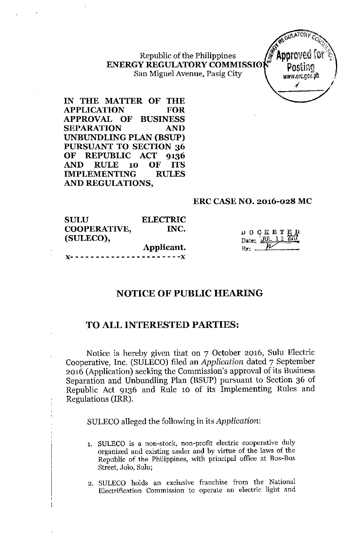Republic of the Philippine **ENERGY REGULATORYCOMMISSI0** San Miguel Avenue, Pasig City



**IN THE MATTER OF THE APPLICATION FOR APPROVAL OF BUSINESS SEPARATION AND UNBUNDLING PLAN (BSVP) PURSUANT TO SECTION 36 OF REPUBLIC ACT 9136 AND RULE 10 OF ITS IMPLEMENTING RULES AND REGULATIONS,**

## **ERC CASE NO. 2016-028 MC**

| <b>SULU</b>  | <b>ELECTRIC</b> |                                                                                                                                                                               |
|--------------|-----------------|-------------------------------------------------------------------------------------------------------------------------------------------------------------------------------|
| COOPERATIVE, | INC.            |                                                                                                                                                                               |
| (SULECO),    |                 | $\begin{array}{c}\n\text{D} & \text{O} & \text{C} & \text{K} & \text{E} & \text{T} & \text{E} & \text{D} \\ \text{Date:} & \text{MML} & \text{12} & \text{2017}\n\end{array}$ |
|              | Applicant.      | $By:$ $II$                                                                                                                                                                    |
|              |                 |                                                                                                                                                                               |

# **NOTICE OF PUBLIC HEARING**

# **TO ALL INTERESTED PARTIES:**

Notice is hereby given that on 7 October 2016, Sulu Electric Cooperative, Inc. (SULECO) filed an *Application* dated 7 September 2016 (Application) seeking the Commission's approval of its Business Separation and Unbundling Plan (BSUP) pursuant to Section 36 of Republic Act 9136 and Rule 10 of its Implementing Rules and Regulations (IRR).

SULECO alleged the following in its *Application:*

- **1. SULECO is a non-stock, non-profit electric cooperative duly organized and existing under and by virtue of the laws of the** Republic of the Philippines, with principal office at Bus-Bus **Street, Jalo, Sulu;**
- **2. SULECO holds an exclusive franchise from the National Electrification Commission to operate an electric light and**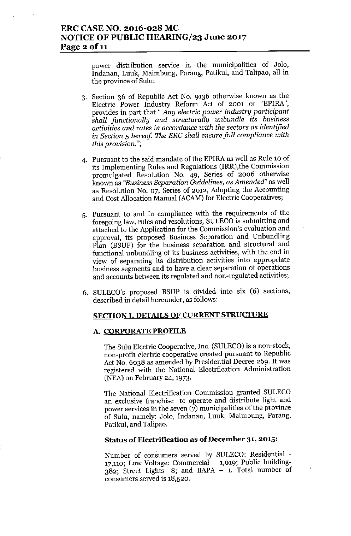power distribution service in the municipalities of Jalo, Indanan, Luuk, Maimbung, Parang, Patikul, and Talipao, all in the province of Sulu;

- 3. Section 36 of Republic Act No. 9136 otherwise known as the Electric Power Industry Reform Act of 2001 or "EPlRA", provides in part that" *Any electric power industry participant shall functionally and structurally unbundle its business activities and rates in accordance with the sectors* as *identified* in *Section* 5 *hereof. The ERe shall ensure full compliance with this provision.";*
- 4. Pursuant to the said mandate of the EPIRA as well as Rule 10 of its Implementing Rules and Regulations (IRR),the Commission promulgated Resolution No. 49, Series of 2006 otherwise known as *"Business Separation Guidelines,* as *Amended"* as well as Resolution No. 07, Series of 2012, Adopting the Accounting and Cost Allocation Manual (ACAM) for Electric Cooperatives;
- 5. Pursuant to and in compliance with the requirements of the foregoing law, rules and resolutions, SULECO is submitting and attached to the Application for the Commission's evaluation and approval, its proposed Business Separation and Unbundling Plan (BSUP) for the business separation and structural and functional unbundling of its business activities, with the end in view of separating its distribution activities into appropriate business segments and to have a clear separation of operations and accounts between its regulated and non-regulated activities;
- 6. SULECO's proposed BSUP is divided into six (6) sections, described in detail hereunder, as follows:

## SECTION I. DETAILS OF CURRENT STRUCTURE

## A. CORPORATE PROFILE

The Sulu Electric Cooperative, Inc. (SULECO) is a non-stock, non-profit electric cooperative created pursuant to Republic Act No. 6038 as amended by Presidential Decree 269. It was registered with the National Electrfication Administration (NEA) on February 24, 1973.

The National Electrification Commission granted SULECO an exclusive franchise to operate and distribute light and power services in the seven  $(7)$  municipalities of the province of Sulu, namely: Jolo, Indanan, Luuk, Maimbung, Parang, Patikul, and Talipao.

#### Status of Electrification as of December 31, 2015:

Number of consumers senred by SULECO: Residential  $17,110$ : Low Voltage: Commercial  $-1,019$ ; Public building-382; Street Ligbts- 8; and BAPA - 1. Total number of consumers senred is 18,520.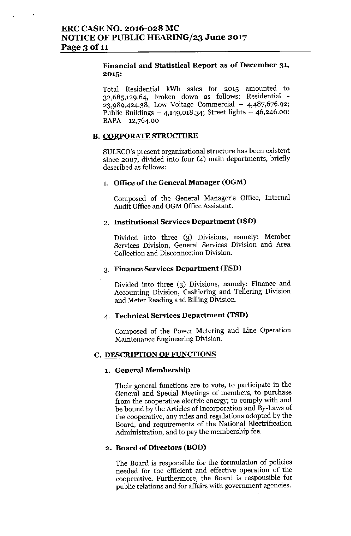## **Financial and Statistical Report as of December 31,** 2015:

Total Residential kWh saies for 2015 amounted to 32,685,129.64, broken down as follows: Residential -  $23,989,424.38$ ; Low Voltage Commercial - 4,487,676.92; Public Buildings  $-4,149,018.34$ ; Street lights  $-46,246.00$ :  $BAPA - 12,764.00$ 

## **B. CORPORATE STRUCTURE**

SULECO's present organizational structure has been existent since 2007, divided into four (4) main departments, briefly described as follows:

## 1. Office of the General Manager (OGM)

Composed of the General Manager's Office, Internal Audit Office and OGM Office Assistant.

## 2. Institutional Services Department (ISD)

Divided into three (3) Divisions, namely: Member Services Division, General Services Division and Area Collection and Disconnection Division.

#### 3. Finance Services Department (FSD)

Divided into three (3) Divisions, namely: Finance and Accounting Division, Cashiering and Tellering Division and Meter Reading and Billing Division.

## 4. Technical Services Department (TSD)

Composed of the Power Metering and Line Operation Maintenance Engineering Division.

#### C. DESCRIPTION OF FUNCTIONS

#### 1. General Membership

Their general functions are to vote, to participate in the General and Special Meetings of members, to purchase from the cooperative electric energy; to comply with and be bound by the Articles of Incorporation and By-Laws of the cooperative, any rules and regulations adopted by the Board, and requirements of the National Electrification Administration, and to pay the membership fee.

## 2. Board of Directors (BOD)

The Board is responsible for the formulation of policies needed for the efficient and effective operation of the cooperative. Furthermore, the Board is responsible for public relations and for affairs with government agencies.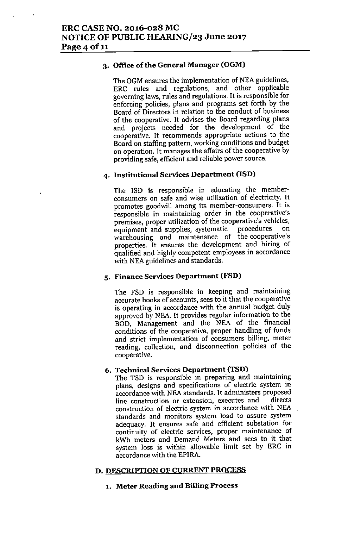## 3. Office of the General Manager (OGM)

The OGM ensures the implementation of NEA guidelines, ERC rules and regulations, and other applicable **governing laws, rules and regulations. It is responsible for** enforcing policies, plans and programs set forth by the **Board of Directors in relation to the conduct of business** of the cooperative. It advises the Board regarding plans and projects needed for the development of the **cooperative. It recommends appropriate actions to the** Board on staffing pattern, working conditions and budget **on operation. It manages the affairs of the cooperative by providing safe, efficient and reliable power source.**

# 4. Institutional Services Department (ISD)

The ISD is responsible in educating the member**consumers on safe and ,vise utilization of electricity. It** promotes goodwill among its member-consumers. It is **responsible in maintaining order in the cooperative's premises, proper utilization of the cooperative's vehicles, equipment and supplies, systematic procedures on warehousing and maintenance of the cooperative's** properties. It ensures the development and hiring of qualified and highly competent employees in accordance with NEA guidelines and standards.

## 5. Finance Services Department (FSD)

The FSD is responsible in keeping and maintaining **accurate books of accounts, sees to it that the cooperative** is operating in accordance with the annual budget duly approved by NEA. It provides regular information to the BOD, Management and the NEA of the financial **conditions of the cooperative, proper handling of funds and strict implementation of consumers billing, meter reading, collection, and disconnection policies of the cooperative.**

## 6. Technical Services Department (TSD)

**The TSD is responsible in preparing and maintaining plans, designs and specifications of electric system in accordance with NEA standards. 1t administers proposed line construction or extension, executes and directs construction of electric system in accordance with NEA standards and monitors system load to assure system adequacy. It ensures safe and efficient substation for continuity of electric services, proper maintenance of kWh meters and Demand Meters and sees to it that** system loss is within allowable limit set by ERC in **accordance ,,1th the EPIRA.**

## D. DESCRIPTION OF CURRENT PROCESS

## **1. Meter Reading and Billing Process**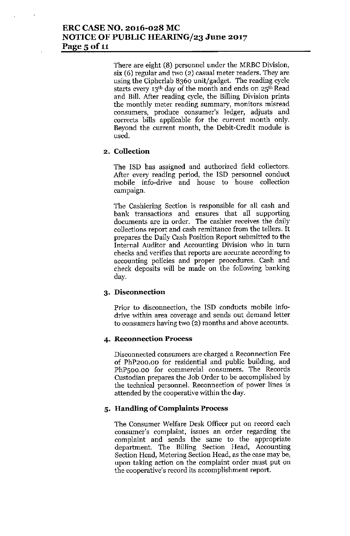# ERC CASE NO. 2016-028 MC NOTICE OF PUBLIC HEARING/23 June 2017 Page 5 of 11

There are eight (8) personnel under the MRBC Division, six (6) regular and two (2) casual meter readers. They are using the Cipherlab 8360 unit/gadget. The reading cycle starts every 13th day of the month and ends on 25th Read and Bill. After reading cycle, the Billing Division prints the monthly meter reading summary, monitors misread consumers, produce consumer's ledger, adjusts and corrects bills applicable for the current month only. Beyond the current month, the Debit-Credit module is used.

## 2. Collection

The iSD has assigned and authorized field collectors. After every reading period, the ISD personnel conduct mobile info-drive and house to house collection campaign.

The Cashiering Section is responsible for all cash and bank transactions and ensures that all supporting documents are in order. The cashier receives the daily collections report and cash remittance from the tellers. It prepares the Daily Cash Position Report submitted to the Internal Auditor and Accounting Division who in turn checks and verifies that reports are accurate according to accounting policies and proper procedures. Cash and check deposits will be made on the following banking day.

# 3. Disconnection

Prior to disconnection, the ISD conducts mobile infodrive within area coverage and sends out demand letter to consumers having two (2) months and above accounts.

# 4. Reconnection Process

Disconnected consumers are charged a Reconnection Fee of PhP200.oo for residential and public building, and PhPsoo.oo for commercial consumers. The Records Custodian prepares the Job Order to be accomplished by the technical personnel. Reconnection of power lines is attended by the cooperative within the day.

## 5. Handling of Complaints Process

The Consumer Welfare Desk Officer put on record each consumer's complaint, issues an order regarding the complaint and sends the same to the appropriate department. The Billing Section Head, Accounting Section Head, Metering Section Head, as the case may be, upon taking action on the complaint order must put on the cooperative's record its accomplishment report.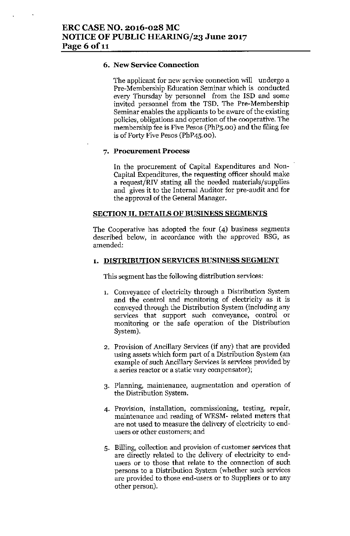## 6. New Service Connection

The applicant for new service connection will undergo a Pre-Membership Education Seminar which is conducted every Thursday by personnel from the ISD and some invited personnel from the TSD. The Pre-Membership Seminar enables the applicants to be aware of the existing policies, obligations and operation of the cooperative. The membership fee is Five Pesos (PhPS.oo) and the filing fee is of Forty Five Pesos (PhP4S.00).

#### 7. Procurement Process

In the procurement of Capital Expenditures and Non-Capital Expenditures, the requesting officer should make a request/RIV stating all the ueeded materials/supplies and gives it to the Internal Auditor for pre-audit and for the approval of the General Manager.

## SECTION II. DETAILS OF BUSINESS SEGMENTS

The Cooperative has adopted the four (4) business segments described below, in accordance with the approved BSG, as amended:

## 1. DISTRIBUTION SERVICES BUSINESS SEGMENT

This segment has the following distribution services:

- 1, Conveyance of electricity through a Distribution System and the control and monitoring of electricity as it is conveyed through the Distribution System (including any services that support such conveyance, control or monitoring or the safe operation of the Distribution System).
- 2. Provision of Ancillary Services (if any) that are provided using assets which form part of a Distribution System (an example of such Ancillary Services is services provided by a series reactor or a static vary compensator);
- 3. Planning, maintenance, augmentation and operation of the Distribution System.
- 4. Provision, installation, commissioning, testing, repair, maintenance and reading of WESM- related meters that are not used to measure the delivery of electricity to endusers or other customers; and
- 5. Billing, collection and provision of customer services that are directly related to the delivery of electricity to endusers or to those that relate to the connection of such persons to a Distribution System (whether such services are provided to those end-users or to Suppliers or to any other person).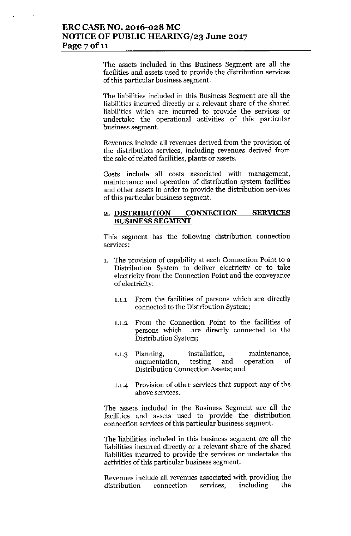The assets included in this Business Segment are all the facilities and assets used to provide the distribution services of this particular business segment.

The liabilities included in this Business Segment are all the liabilities incurred directly or a relevant share of the shared liabilities which are incurred to provide the services or undertake the operational activities of this particular business segment.

Revenues include all revenues derived from the provision of the distribution services, including revenues derived from the sale of related facilities, plants or assets.

Costs include all costs associated with management, maintenance and operation of distribution system facilities and other assets in order to provide the distribution services of this particular business segment.

#### 2. DISTRIBUTION CONNECfION BUSINESS SEGMENT SERVICES

This segment has the following distribution connection services:

- 1. The provision of capability at each Connection Point to a Distribution System to deliver electricity or to take electricity from the Connection Point and the conveyance of electricity:
	- 1.1.1 From the facilities of persons which are directly connected to the Distribution System;
	- 1.1.2 From the Connection Point to the facilities of are directly connected to the Distribution System;
	- 1.1.3 Planning, installation, maintenance, augmentation, testing and operation of Distribution Connection Assets; and
	- 1.1.4 Provision of other services that support any of the above services.

The assets included in the Business Segment are all the facilities and assets used to provide the distribution connection services of this particular business segment.

The liabilities included in this business segment are all the liabilities incurred directly or a relevant share of the shared liabilities incurred to provide the services or undertake the activities of this particular business segment.

Revenues include all revenues associated with providing the distribution connection services, including the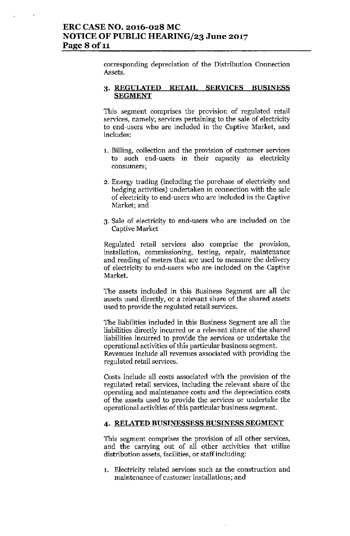corresponding depreciation of the Distribution Connection Assets.

## 3. REGULATED RETAIL SERVICES BUSINESS SEGMENT

This segment comprises the provision of regulated retail services, namely; services pertaining to the sale of electricity to end-users who are included in the Captive Market, and includes:

- 1. Billing, collection and the provision of customer services to such end-users in their capacity as electricity consumers;
- 2. Energy trading (including the purchase of electricity and hedging activities) undertaken in connection with the sale of electricity to end-users who are included in the Captive Market; and
- 3. Sale of electricity to end-users who are included on the Captive Market

Regulated retail services also comprise the provision, installation, commissioning, testing, repair, maintenance and reading of meters that are used to measure the delivery of electricity to end-users who are included on the Captive Market.

The assets included in this Business Segment are all the assets used directly, or a relevant share of the shared assets used to provide the regulated retail services.

The liabilities included in this Business Segment are all the liabilities directly incurred or a relevant share of the shared liabilities incurred to provide the services or undertake the operational activities of this particular business segment. Revenues include all revenues associated with providing the regulated retail services.

Costs include all costs associated with the provision of the regulated retail services, including the relevant share of the operating and maintenance costs and the depreciation costs of the assets used to provide the services or undertake the operational activities of this particular business segment.

## 4. RELATED BUSINESSESS BUSINESS SEGMENT

This segment comprises the provision of all other services, and the carrying out of all other activities that utilize distribution assets, facilities, or staff including:

1. Electricity related services such as the construction and maintenance of customer installations; and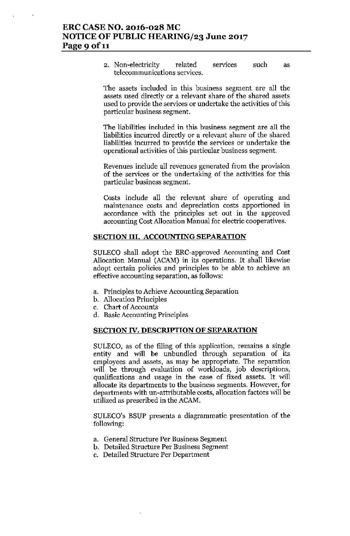2. Non-electricity related services telecommunications services. such as

The assets included in this business segment are all the assets used directly or a relevant share of the shared assets used to provide the services or undertake the activities of this particular business segment.

The liabilities included in this business segment are all the liabilities incurred directly or a relevant share of the shared liabilities incurred to provide the services or undertake the operational activities of this particular business segment.

Revenues include all revenues generated from the provision of the services or the undertaking of the activities for this particular business segment.

Costs include all the relevant share of operating and maintenance costs and depreciation costs apportioned in accordance with the principles set out in the approved accounting Cost Allocation Manual for electric cooperatives.

## SECTION III. ACCOUNTING SEPARATION

SULECO shall adopt the ERC-approved Accounting and Cost Allocation Manual (ACAM) in its operations. It shall likewise adopt certain policies and principles to be able to achieve an effective accounting separation, as follows:

- a. Principles to Achieve Accounting Separation
- b. Allocation Principles
- c. Chart of Accounts
- d. Basic Accounting Principles

#### SECTION IV. DESCRIPTION OF SEPARATION

SULECO, as of the fliing of this application, remains a single entity and will be unbundied through separation of its employees and assets, as may be appropriate. The separation will be through evaluation of workloads, job descriptions, qualifications and usage in the case of fixed assets. It will allocate its departments to the business segments. However, for departments with un-attributable costs, allocation factors will be utilized as prescribed in the ACAM.

SULECO's BSUP presents a diagrammatic presentation of the following:

- a. General Structure Per Business Segment
- b. Detailed Structure Per Business Segment
- c. Detailed Structure Per Department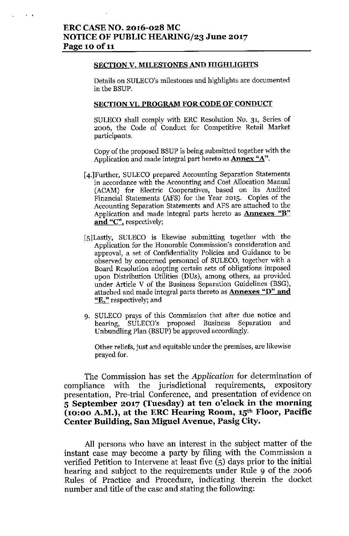$\mathbf{r} = \mathbf{r}$ 

#### SECTION V. MILESTONES AND HIGHLIGHTS

Details on SULECO's milestones and highlights are documented in the BSUP.

#### SECTION VI. PROGRAM FOR CODE OF CONDUCT

SULECO shall comply with ERC Resolution No. 31, Series of 2006, the Code of Conduct for Competitive Retail Market participants.

Copy of the proposed BSUP is heing submitted together with the Application and made integral part hereto as **Annex** "A".

- [4.]Further, SULECO prepared Accounting Separation Statements in accordance with the Accounting and Cost Allocation Manual (ACAM) for Electric Cooperatives, based on its Audited Financial Statements (AFS) for the Year 2015. Copies of the Accounting Separation Statements and AFS are attached to the Application and made integral parts hereto as **Annexes** "B" and "C", respectively;
- [5]Lastly, SULECO is likewise submitting together with the Application for the Honorable Commission's consideration and approval, a set of Confidentiality Policies and Guidance to be observed by concerned personnel of SULECO, together with a Board Resolution adopting certain sets of obligations imposed upon Distribution Utilities (DUs), among others, as provided under Article V of the Business Separation Guidelines (BSG), attached and made integral parts thereto as **Annexes** "D" **and** "E," respectively; and
- 9. SULECO prays of this Commission that after due notice and hearing, SULECO's proposed Business Separation and Unbundling Plan (BSUP) be approved accordingly.

Other reliefs, just and equitable under the premises, are likewise prayed for.

The Commission has set the *Application* for determination of compliance with the jurisdictional requirements, expository presentation, Pre-trial Conference, and presentation of evidence on 5 September 2017 (Tuesday) at ten o'clock in the morning (10:00 A.M.), at the ERC Hearing Room,  $15<sup>th</sup>$  Floor, Pacific Center Building, San Miguel Avenue, Pasig City.

All persons who have an interest in the subject matter of the instant case may become a party by filing with the Commission a verified Petition to Intervene at least five (5) days prior to the initial hearing and subject to the requirements under Rule 9 of the 2006 Rules of Practice and Procedure, indicating therein the docket number and title of the case and stating the following: